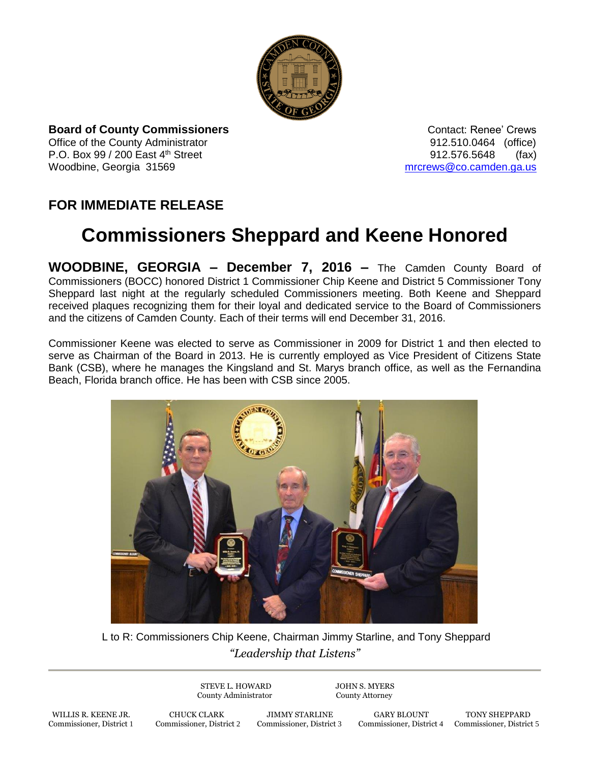

**Board of County Commissioners Contact: Renee' Crews Contact: Renee' Crews** Office of the County Administrator **Connect Administrator 12.510.0464** (office) P.O. Box 99 / 200 East 4<sup>th</sup> Street 912.576.5648 (fax) Woodbine, Georgia 31569 [mrcrews@co.camden.ga.us](mailto:mrcrews@co.camden.ga.us)

## **FOR IMMEDIATE RELEASE**

## **Commissioners Sheppard and Keene Honored**

**WOODBINE, GEORGIA – December 7, 2016 –** The Camden County Board of Commissioners (BOCC) honored District 1 Commissioner Chip Keene and District 5 Commissioner Tony Sheppard last night at the regularly scheduled Commissioners meeting. Both Keene and Sheppard received plaques recognizing them for their loyal and dedicated service to the Board of Commissioners and the citizens of Camden County. Each of their terms will end December 31, 2016.

Commissioner Keene was elected to serve as Commissioner in 2009 for District 1 and then elected to serve as Chairman of the Board in 2013. He is currently employed as Vice President of Citizens State Bank (CSB), where he manages the Kingsland and St. Marys branch office, as well as the Fernandina Beach, Florida branch office. He has been with CSB since 2005.



*"Leadership that Listens"* L to R: Commissioners Chip Keene, Chairman Jimmy Starline, and Tony Sheppard

> STEVE L. HOWARD JOHN S. MYERS County Administrator County Attorney

WILLIS R. KEENE JR. CHUCK CLARK JIMMY STARLINE GARY BLOUNT TONY SHEPPARD

Commissioner, District 4 Commissioner, District 5